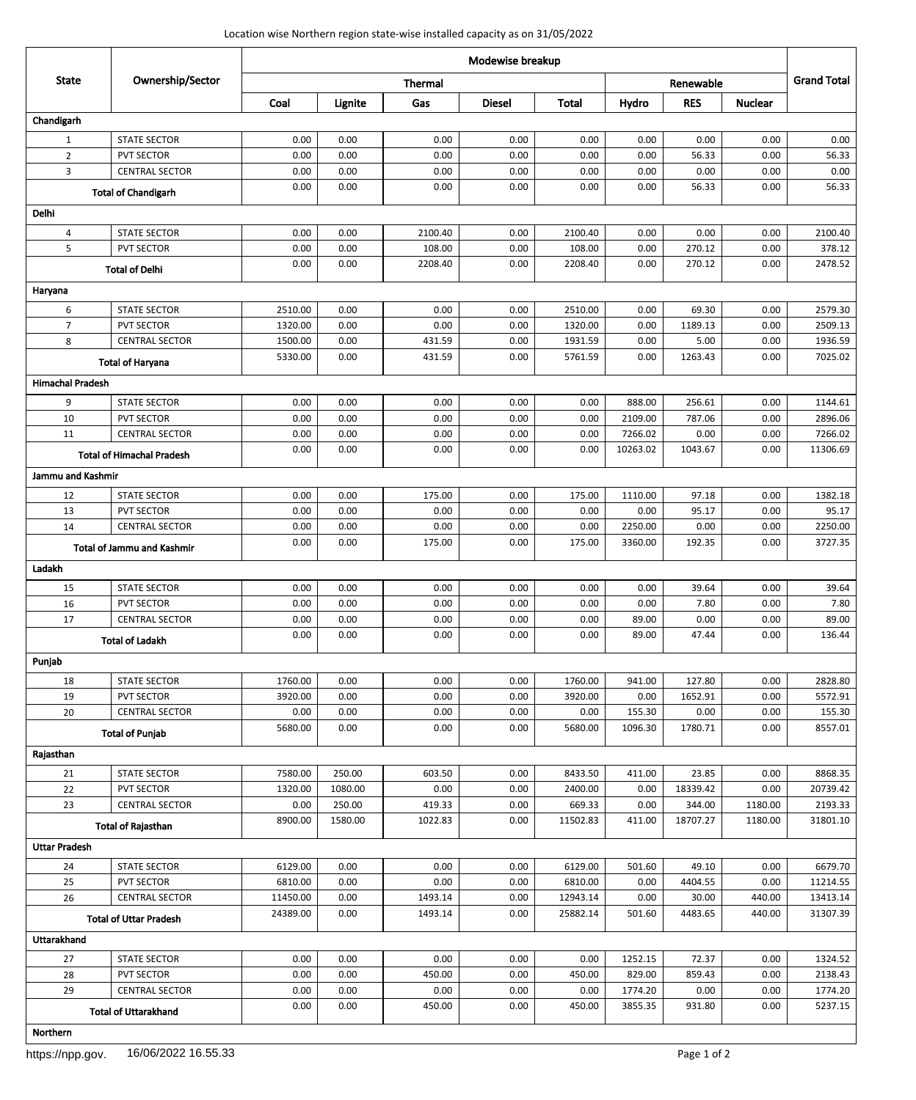## Location wise Northern region state-wise installed capacity as on 31/05/2022

| <b>State</b>               | Ownership/Sector                  | Modewise breakup |         |                |               |              |          |            |                |                    |
|----------------------------|-----------------------------------|------------------|---------|----------------|---------------|--------------|----------|------------|----------------|--------------------|
|                            |                                   |                  |         | <b>Thermal</b> |               |              |          | Renewable  |                | <b>Grand Total</b> |
|                            |                                   | Coal             | Lignite | Gas            | <b>Diesel</b> | <b>Total</b> | Hydro    | <b>RES</b> | <b>Nuclear</b> |                    |
| Chandigarh                 |                                   |                  |         |                |               |              |          |            |                |                    |
| $\mathbf{1}$               | <b>STATE SECTOR</b>               | 0.00             | 0.00    | 0.00           | 0.00          | 0.00         | 0.00     | 0.00       | 0.00           | 0.00               |
| $\overline{2}$             | <b>PVT SECTOR</b>                 | 0.00             | 0.00    | 0.00           | 0.00          | 0.00         | 0.00     | 56.33      | 0.00           | 56.33              |
| 3                          | <b>CENTRAL SECTOR</b>             | 0.00             | 0.00    | 0.00           | 0.00          | 0.00         | 0.00     | 0.00       | 0.00           | 0.00               |
| <b>Total of Chandigarh</b> |                                   | 0.00             | 0.00    | 0.00           | 0.00          | 0.00         | 0.00     | 56.33      | 0.00           | 56.33              |
| <b>Delhi</b>               |                                   |                  |         |                |               |              |          |            |                |                    |
| 4                          | <b>STATE SECTOR</b>               | 0.00             | 0.00    | 2100.40        | 0.00          | 2100.40      | 0.00     | 0.00       | 0.00           | 2100.40            |
| 5                          | <b>PVT SECTOR</b>                 | 0.00             | 0.00    | 108.00         | 0.00          | 108.00       | 0.00     | 270.12     | 0.00           | 378.12             |
| <b>Total of Delhi</b>      |                                   | 0.00             | 0.00    | 2208.40        | 0.00          | 2208.40      | 0.00     | 270.12     | 0.00           | 2478.52            |
| Haryana                    |                                   |                  |         |                |               |              |          |            |                |                    |
| 6                          | <b>STATE SECTOR</b>               | 2510.00          | 0.00    | 0.00           | 0.00          | 2510.00      | 0.00     | 69.30      | 0.00           | 2579.30            |
| $\overline{7}$             | <b>PVT SECTOR</b>                 | 1320.00          | 0.00    | 0.00           | 0.00          | 1320.00      | 0.00     | 1189.13    | 0.00           | 2509.13            |
| 8                          | <b>CENTRAL SECTOR</b>             | 1500.00          | 0.00    | 431.59         | 0.00          | 1931.59      | 0.00     | 5.00       | 0.00           | 1936.59            |
|                            | <b>Total of Haryana</b>           | 5330.00          | 0.00    | 431.59         | 0.00          | 5761.59      | 0.00     | 1263.43    | 0.00           | 7025.02            |
| <b>Himachal Pradesh</b>    |                                   |                  |         |                |               |              |          |            |                |                    |
| 9                          | <b>STATE SECTOR</b>               | 0.00             | 0.00    | 0.00           | 0.00          | 0.00         | 888.00   | 256.61     | 0.00           | 1144.61            |
| 10                         | <b>PVT SECTOR</b>                 | 0.00             | 0.00    | 0.00           | 0.00          | 0.00         | 2109.00  | 787.06     | 0.00           | 2896.06            |
| 11                         | <b>CENTRAL SECTOR</b>             | 0.00             | 0.00    | 0.00           | 0.00          | 0.00         | 7266.02  | 0.00       | 0.00           | 7266.02            |
|                            | <b>Total of Himachal Pradesh</b>  | 0.00             | 0.00    | 0.00           | 0.00          | 0.00         | 10263.02 | 1043.67    | 0.00           | 11306.69           |
| Jammu and Kashmir          |                                   |                  |         |                |               |              |          |            |                |                    |
| 12                         | <b>STATE SECTOR</b>               | 0.00             | 0.00    | 175.00         | 0.00          | 175.00       | 1110.00  | 97.18      | 0.00           | 1382.18            |
| 13                         | <b>PVT SECTOR</b>                 | 0.00             | 0.00    | 0.00           | 0.00          | 0.00         | 0.00     | 95.17      | 0.00           | 95.17              |
| 14                         | <b>CENTRAL SECTOR</b>             | 0.00             | 0.00    | 0.00           | 0.00          | 0.00         | 2250.00  | 0.00       | 0.00           | 2250.00            |
|                            | <b>Total of Jammu and Kashmir</b> | 0.00             | 0.00    | 175.00         | 0.00          | 175.00       | 3360.00  | 192.35     | 0.00           | 3727.35            |
| Ladakh                     |                                   |                  |         |                |               |              |          |            |                |                    |
| 15                         | <b>STATE SECTOR</b>               | 0.00             | 0.00    | 0.00           | 0.00          | 0.00         | 0.00     | 39.64      | 0.00           | 39.64              |
| 16                         | <b>PVT SECTOR</b>                 | 0.00             | 0.00    | 0.00           | 0.00          | 0.00         | 0.00     | 7.80       | 0.00           | 7.80               |
| 17                         | <b>CENTRAL SECTOR</b>             | 0.00             | 0.00    | 0.00           | 0.00          | 0.00         | 89.00    | 0.00       | 0.00           | 89.00              |
| <b>Total of Ladakh</b>     |                                   | 0.00             | 0.00    | 0.00           | 0.00          | 0.00         | 89.00    | 47.44      | 0.00           | 136.44             |
| Punjab                     |                                   |                  |         |                |               |              |          |            |                |                    |
| 18                         | <b>STATE SECTOR</b>               | 1760.00          | 0.00    | 0.00           | 0.00          | 1760.00      | 941.00   | 127.80     | 0.00           | 2828.80            |
| 19                         | <b>PVT SECTOR</b>                 | 3920.00          | 0.00    | 0.00           | 0.00          | 3920.00      | 0.00     | 1652.91    | 0.00           | 5572.91            |
| 20                         | <b>CENTRAL SECTOR</b>             | 0.00             | 0.00    | 0.00           | 0.00          | 0.00         | 155.30   | 0.00       | 0.00           | 155.30             |
|                            | <b>Total of Punjab</b>            | 5680.00          | 0.00    | 0.00           | 0.00          | 5680.00      | 1096.30  | 1780.71    | 0.00           | 8557.01            |
| Rajasthan                  |                                   |                  |         |                |               |              |          |            |                |                    |
| 21                         | <b>STATE SECTOR</b>               | 7580.00          | 250.00  | 603.50         | 0.00          | 8433.50      | 411.00   | 23.85      | 0.00           | 8868.35            |
| 22                         | <b>PVT SECTOR</b>                 | 1320.00          | 1080.00 | 0.00           | 0.00          | 2400.00      | 0.00     | 18339.42   | 0.00           | 20739.42           |
| 23                         | <b>CENTRAL SECTOR</b>             | 0.00             | 250.00  | 419.33         | 0.00          | 669.33       | 0.00     | 344.00     | 1180.00        | 2193.33            |
|                            | <b>Total of Rajasthan</b>         | 8900.00          | 1580.00 | 1022.83        | 0.00          | 11502.83     | 411.00   | 18707.27   | 1180.00        | 31801.10           |
| <b>Uttar Pradesh</b>       |                                   |                  |         |                |               |              |          |            |                |                    |
| 24                         | <b>STATE SECTOR</b>               | 6129.00          | 0.00    | 0.00           | 0.00          | 6129.00      | 501.60   | 49.10      | 0.00           | 6679.70            |
| 25                         | <b>PVT SECTOR</b>                 | 6810.00          | 0.00    | 0.00           | 0.00          | 6810.00      | 0.00     | 4404.55    | 0.00           | 11214.55           |
| 26                         | <b>CENTRAL SECTOR</b>             | 11450.00         | 0.00    | 1493.14        | 0.00          | 12943.14     | 0.00     | 30.00      | 440.00         | 13413.14           |
|                            | <b>Total of Uttar Pradesh</b>     | 24389.00         | 0.00    | 1493.14        | 0.00          | 25882.14     | 501.60   | 4483.65    | 440.00         | 31307.39           |
| <b>Uttarakhand</b>         |                                   |                  |         |                |               |              |          |            |                |                    |
| 27                         | <b>STATE SECTOR</b>               | 0.00             | 0.00    | 0.00           | 0.00          | 0.00         | 1252.15  | 72.37      | 0.00           | 1324.52            |
| 28                         | <b>PVT SECTOR</b>                 | 0.00             | 0.00    | 450.00         | 0.00          | 450.00       | 829.00   | 859.43     | 0.00           | 2138.43            |
| 29                         | <b>CENTRAL SECTOR</b>             | 0.00             | 0.00    | 0.00           | 0.00          | 0.00         | 1774.20  | 0.00       | 0.00           | 1774.20            |
|                            | <b>Total of Uttarakhand</b>       | 0.00             | 0.00    | 450.00         | 0.00          | 450.00       | 3855.35  | 931.80     | 0.00           | 5237.15            |
| <b>Northern</b>            |                                   |                  |         |                |               |              |          |            |                |                    |